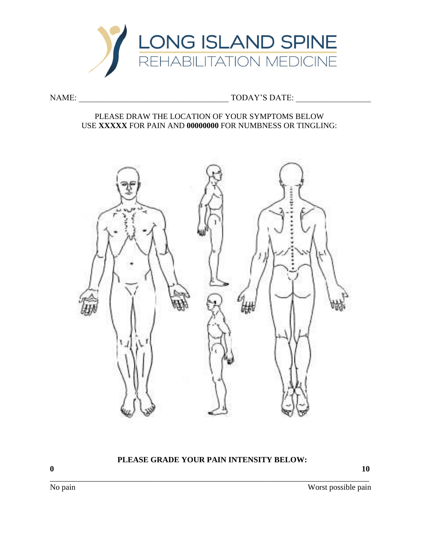

# NAME: \_\_\_\_\_\_\_\_\_\_\_\_\_\_\_\_\_\_\_\_\_\_\_\_\_\_\_\_\_\_\_\_\_\_\_\_ TODAY'S DATE: \_\_\_\_\_\_\_\_\_\_\_\_\_\_\_\_\_\_

#### PLEASE DRAW THE LOCATION OF YOUR SYMPTOMS BELOW USE **XXXXX** FOR PAIN AND **00000000** FOR NUMBNESS OR TINGLING:



# **PLEASE GRADE YOUR PAIN INTENSITY BELOW:**

\_\_\_\_\_\_\_\_\_\_\_\_\_\_\_\_\_\_\_\_\_\_\_\_\_\_\_\_\_\_\_\_\_\_\_\_\_\_\_\_\_\_\_\_\_\_\_\_\_\_\_\_\_\_\_\_\_\_\_\_\_\_\_\_\_\_\_\_\_\_\_\_\_\_\_\_\_\_\_\_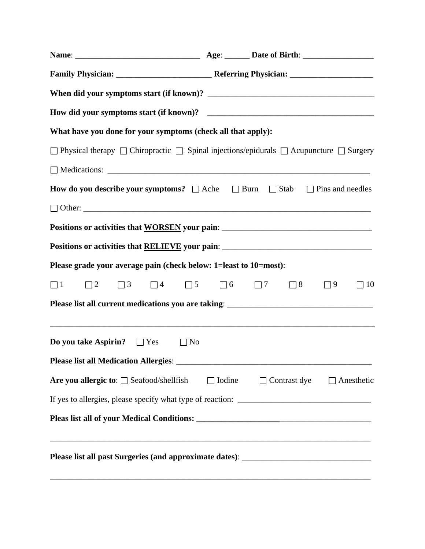| What have you done for your symptoms (check all that apply):                                                        |               |                     |          |                   |
|---------------------------------------------------------------------------------------------------------------------|---------------|---------------------|----------|-------------------|
| $\Box$ Physical therapy $\Box$ Chiropractic $\Box$ Spinal injections/epidurals $\Box$ Acupuncture $\Box$ Surgery    |               |                     |          |                   |
|                                                                                                                     |               |                     |          |                   |
| <b>How do you describe your symptoms?</b> $\Box$ Ache $\Box$ Burn $\Box$ Stab $\Box$ Pins and needles               |               |                     |          |                   |
|                                                                                                                     |               |                     |          |                   |
| Positions or activities that WORSEN your pain: __________________________________                                   |               |                     |          |                   |
| Positions or activities that RELIEVE your pain: _________________________________                                   |               |                     |          |                   |
| Please grade your average pain (check below: 1=least to 10=most):                                                   |               |                     |          |                   |
| $\Box$ 2 $\Box$ 3 $\Box$ 4 $\Box$ 5 $\Box$ 6 $\Box$ 7<br>$\Box$ 1                                                   |               | $\Box$ 8            | $\Box$ 9 | $\Box$ 10         |
| Please list all current medications you are taking: _____________________________                                   |               |                     |          |                   |
| <b>Do you take Aspirin?</b> $\Box$ Yes $\Box$ No                                                                    |               |                     |          |                   |
|                                                                                                                     |               |                     |          |                   |
| Are you allergic to: $\Box$ Seafood/shellfish                                                                       | $\Box$ Iodine | $\Box$ Contrast dye |          | $\Box$ Anesthetic |
|                                                                                                                     |               |                     |          |                   |
|                                                                                                                     |               |                     |          |                   |
| <u> 1989 - 1989 - 1989 - 1989 - 1989 - 1989 - 1989 - 1989 - 1989 - 1989 - 1989 - 1989 - 1989 - 1989 - 1989 - 19</u> |               |                     |          |                   |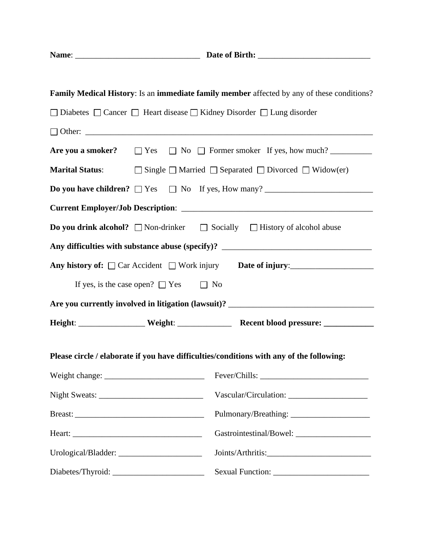| Name: | Date of Birth: |
|-------|----------------|
|       |                |

|                                                                       | Family Medical History: Is an immediate family member affected by any of these conditions?            |
|-----------------------------------------------------------------------|-------------------------------------------------------------------------------------------------------|
| □ Diabetes □ Cancer □ Heart disease □ Kidney Disorder □ Lung disorder |                                                                                                       |
|                                                                       |                                                                                                       |
|                                                                       | Are you a smoker? $\Box$ Yes $\Box$ No $\Box$ Former smoker If yes, how much?                         |
|                                                                       | <b>Marital Status:</b> $\Box$ Single $\Box$ Married $\Box$ Separated $\Box$ Divorced $\Box$ Widow(er) |
|                                                                       |                                                                                                       |
|                                                                       |                                                                                                       |
|                                                                       | <b>Do you drink alcohol?</b> $\Box$ Non-drinker $\Box$ Socially $\Box$ History of alcohol abuse       |
|                                                                       |                                                                                                       |
|                                                                       | Any history of: Car Accident Work injury Date of injury:                                              |
| If yes, is the case open? $\Box$ Yes $\Box$ No                        |                                                                                                       |
|                                                                       |                                                                                                       |
|                                                                       | Height: ___________________ Weight: _________________ Recent blood pressure: ______________           |
|                                                                       | Please circle / elaborate if you have difficulties/conditions with any of the following:              |
|                                                                       |                                                                                                       |
|                                                                       |                                                                                                       |
|                                                                       |                                                                                                       |
|                                                                       |                                                                                                       |
|                                                                       |                                                                                                       |
| Diabetes/Thyroid:                                                     |                                                                                                       |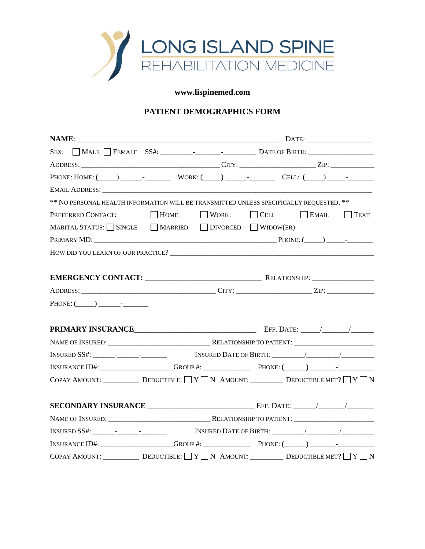

## **www.lispinemed.com**

## **PATIENT DEMOGRAPHICS FORM**

| PHONE: HOME: $(\_\_\_\_\_\_\_$ WORK: $(\_\_\_\_\_\_\_$ $\_\_$ CELL: $(\_\_\_\_\_\_\_$                                                                                                                                                                                                                                                                                                                                                                                                                                                                                                                                                                                                                                                                                             |  |  |                                      |
|-----------------------------------------------------------------------------------------------------------------------------------------------------------------------------------------------------------------------------------------------------------------------------------------------------------------------------------------------------------------------------------------------------------------------------------------------------------------------------------------------------------------------------------------------------------------------------------------------------------------------------------------------------------------------------------------------------------------------------------------------------------------------------------|--|--|--------------------------------------|
|                                                                                                                                                                                                                                                                                                                                                                                                                                                                                                                                                                                                                                                                                                                                                                                   |  |  |                                      |
| ** NO PERSONAL HEALTH INFORMATION WILL BE TRANSMITTED UNLESS SPECIFICALLY REQUESTED. **                                                                                                                                                                                                                                                                                                                                                                                                                                                                                                                                                                                                                                                                                           |  |  |                                      |
| PREFERRED CONTACT: MOME WORK:                                                                                                                                                                                                                                                                                                                                                                                                                                                                                                                                                                                                                                                                                                                                                     |  |  | $\Box$ CELL $\Box$ EMAIL $\Box$ TEXT |
| MARITAL STATUS: $\Box$ SINGLE $\Box$ MARRIED $\Box$ DIVORCED $\Box$ WIDOW(ER)                                                                                                                                                                                                                                                                                                                                                                                                                                                                                                                                                                                                                                                                                                     |  |  |                                      |
|                                                                                                                                                                                                                                                                                                                                                                                                                                                                                                                                                                                                                                                                                                                                                                                   |  |  |                                      |
| HOW DID YOU LEARN OF OUR PRACTICE?                                                                                                                                                                                                                                                                                                                                                                                                                                                                                                                                                                                                                                                                                                                                                |  |  |                                      |
|                                                                                                                                                                                                                                                                                                                                                                                                                                                                                                                                                                                                                                                                                                                                                                                   |  |  |                                      |
|                                                                                                                                                                                                                                                                                                                                                                                                                                                                                                                                                                                                                                                                                                                                                                                   |  |  |                                      |
|                                                                                                                                                                                                                                                                                                                                                                                                                                                                                                                                                                                                                                                                                                                                                                                   |  |  |                                      |
| $PHONE: (\_\_)$ -----                                                                                                                                                                                                                                                                                                                                                                                                                                                                                                                                                                                                                                                                                                                                                             |  |  |                                      |
|                                                                                                                                                                                                                                                                                                                                                                                                                                                                                                                                                                                                                                                                                                                                                                                   |  |  |                                      |
|                                                                                                                                                                                                                                                                                                                                                                                                                                                                                                                                                                                                                                                                                                                                                                                   |  |  |                                      |
|                                                                                                                                                                                                                                                                                                                                                                                                                                                                                                                                                                                                                                                                                                                                                                                   |  |  |                                      |
| $INSURANCE ID#: ___________ GROUP #: ___________ PHONE: (__ ) ___________ -$                                                                                                                                                                                                                                                                                                                                                                                                                                                                                                                                                                                                                                                                                                      |  |  |                                      |
|                                                                                                                                                                                                                                                                                                                                                                                                                                                                                                                                                                                                                                                                                                                                                                                   |  |  |                                      |
|                                                                                                                                                                                                                                                                                                                                                                                                                                                                                                                                                                                                                                                                                                                                                                                   |  |  |                                      |
|                                                                                                                                                                                                                                                                                                                                                                                                                                                                                                                                                                                                                                                                                                                                                                                   |  |  |                                      |
|                                                                                                                                                                                                                                                                                                                                                                                                                                                                                                                                                                                                                                                                                                                                                                                   |  |  |                                      |
| $INSURANCE ID#: ___________ \n  GROUP #: ___________ \n  and the following: ___________ \n  and the following: ___________ \n  and the following: ___________ \n  and the following: ___________ \n  and the following: ___________ \n  and the following: ___________ \n  and the following: ___________ \n  and the following: ___________ \n  and the following: ___________ \n  and the following: ___________ \n  and the following: ___________ \n  and the following: ___________ \n  and the following: ___________ \n  and the following: ___________ \n  and the following: ___________ \n  and the following: ___________ \n  and the following: ___________ \n  and the following: ___________ \n  and the following: ___________ \n  and the following: ___________$ |  |  |                                      |
|                                                                                                                                                                                                                                                                                                                                                                                                                                                                                                                                                                                                                                                                                                                                                                                   |  |  |                                      |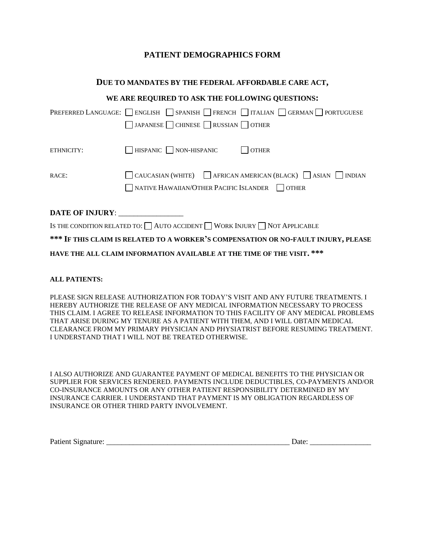## **PATIENT DEMOGRAPHICS FORM**

#### **DUE TO MANDATES BY THE FEDERAL AFFORDABLE CARE ACT,**

|                 | WE ARE REQUIRED TO ASK THE FOLLOWING QUESTIONS:                                                                                         |
|-----------------|-----------------------------------------------------------------------------------------------------------------------------------------|
|                 | PREFERRED LANGUAGE: BIGLISH SPANISH FRENCH TIALIAN GERMAN PORTUGUESE                                                                    |
|                 | JAPANESE CHINESE RUSSIAN OTHER                                                                                                          |
| ETHNICITY:      | $\Box$ HISPANIC $\Box$ NON-HISPANIC<br><b>OTHER</b>                                                                                     |
| RACE:           | CAUCASIAN (WHITE) $\bigcap$ AFRICAN AMERICAN (BLACK) $\bigcap$ ASIAN $\bigcap$ INDIAN<br>NATIVE HAWAIIAN/OTHER PACIFIC ISLANDER   OTHER |
| DATE OF INJURY: |                                                                                                                                         |
|                 | IS THE CONDITION RELATED TO: $\Box$ AUTO ACCIDENT $\Box$ WORK INJURY $\Box$ NOT APPLICABLE                                              |
|                 | *** IF THIS CLAIM IS RELATED TO A WORKER'S COMPENSATION OR NO-FAULT INJURY, PLEASE                                                      |

**HAVE THE ALL CLAIM INFORMATION AVAILABLE AT THE TIME OF THE VISIT. \*\*\***

#### **ALL PATIENTS:**

PLEASE SIGN RELEASE AUTHORIZATION FOR TODAY'S VISIT AND ANY FUTURE TREATMENTS. I HEREBY AUTHORIZE THE RELEASE OF ANY MEDICAL INFORMATION NECESSARY TO PROCESS THIS CLAIM. I AGREE TO RELEASE INFORMATION TO THIS FACILITY OF ANY MEDICAL PROBLEMS THAT ARISE DURING MY TENURE AS A PATIENT WITH THEM, AND I WILL OBTAIN MEDICAL CLEARANCE FROM MY PRIMARY PHYSICIAN AND PHYSIATRIST BEFORE RESUMING TREATMENT. I UNDERSTAND THAT I WILL NOT BE TREATED OTHERWISE.

I ALSO AUTHORIZE AND GUARANTEE PAYMENT OF MEDICAL BENEFITS TO THE PHYSICIAN OR SUPPLIER FOR SERVICES RENDERED. PAYMENTS INCLUDE DEDUCTIBLES, CO-PAYMENTS AND/OR CO-INSURANCE AMOUNTS OR ANY OTHER PATIENT RESPONSIBILITY DETERMINED BY MY INSURANCE CARRIER. I UNDERSTAND THAT PAYMENT IS MY OBLIGATION REGARDLESS OF INSURANCE OR OTHER THIRD PARTY INVOLVEMENT.

| <b>Patient Signat</b> | Jate |
|-----------------------|------|
|                       |      |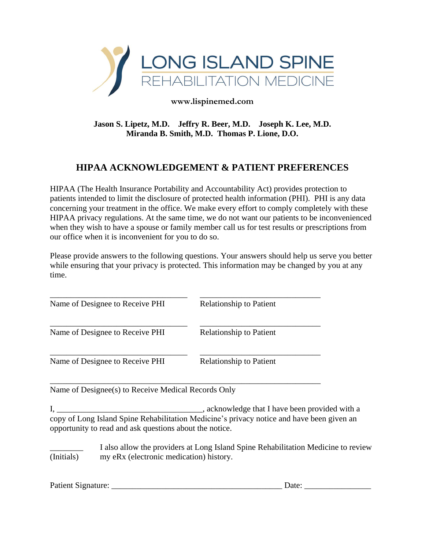

**www.lispinemed.com**

**Jason S. Lipetz, M.D. Jeffry R. Beer, M.D. Joseph K. Lee, M.D. Miranda B. Smith, M.D. Thomas P. Lione, D.O.**

# **HIPAA ACKNOWLEDGEMENT & PATIENT PREFERENCES**

HIPAA (The Health Insurance Portability and Accountability Act) provides protection to patients intended to limit the disclosure of protected health information (PHI). PHI is any data concerning your treatment in the office. We make every effort to comply completely with these HIPAA privacy regulations. At the same time, we do not want our patients to be inconvenienced when they wish to have a spouse or family member call us for test results or prescriptions from our office when it is inconvenient for you to do so.

Please provide answers to the following questions. Your answers should help us serve you better while ensuring that your privacy is protected. This information may be changed by you at any time.

| Name of Designee to Receive PHI                     | <b>Relationship to Patient</b> |
|-----------------------------------------------------|--------------------------------|
| Name of Designee to Receive PHI                     | <b>Relationship to Patient</b> |
| Name of Designee to Receive PHI                     | <b>Relationship to Patient</b> |
| Name of Designee(s) to Receive Medical Records Only |                                |

I, \_\_\_\_\_\_\_\_\_\_\_\_\_\_\_\_\_\_\_\_\_\_\_\_\_\_\_\_\_\_\_\_\_\_\_, acknowledge that I have been provided with a copy of Long Island Spine Rehabilitation Medicine's privacy notice and have been given an opportunity to read and ask questions about the notice.

I also allow the providers at Long Island Spine Rehabilitation Medicine to review (Initials) my eRx (electronic medication) history.

| Patient Signature: |  |
|--------------------|--|
|                    |  |